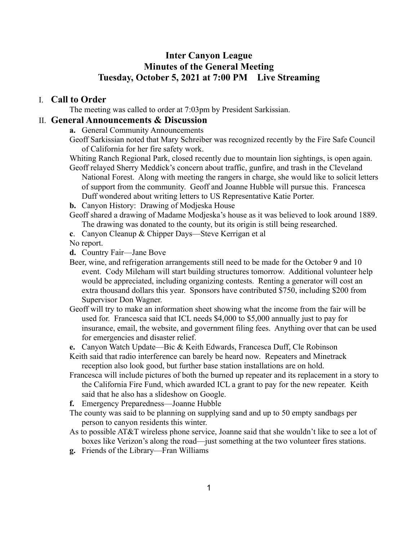## **Inter Canyon League Minutes of the General Meeting Tuesday, October 5, 2021 at 7:00 PM Live Streaming**

## I. **Call to Order**

The meeting was called to order at 7:03pm by President Sarkissian.

## II. **General Announcements & Discussion**

**a.** General Community Announcements

Geoff Sarkissian noted that Mary Schreiber was recognized recently by the Fire Safe Council of California for her fire safety work.

- Whiting Ranch Regional Park, closed recently due to mountain lion sightings, is open again.
- Geoff relayed Sherry Meddick's concern about traffic, gunfire, and trash in the Cleveland National Forest. Along with meeting the rangers in charge, she would like to solicit letters of support from the community. Geoff and Joanne Hubble will pursue this. Francesca Duff wondered about writing letters to US Representative Katie Porter.
- **b.** Canyon History: Drawing of Modjeska House
- Geoff shared a drawing of Madame Modjeska's house as it was believed to look around 1889. The drawing was donated to the county, but its origin is still being researched.
- **c**. Canyon Cleanup & Chipper Days—Steve Kerrigan et al

No report.

**d.** Country Fair—Jane Bove

- Beer, wine, and refrigeration arrangements still need to be made for the October 9 and 10 event. Cody Mileham will start building structures tomorrow. Additional volunteer help would be appreciated, including organizing contests. Renting a generator will cost an extra thousand dollars this year. Sponsors have contributed \$750, including \$200 from Supervisor Don Wagner.
- Geoff will try to make an information sheet showing what the income from the fair will be used for. Francesca said that ICL needs \$4,000 to \$5,000 annually just to pay for insurance, email, the website, and government filing fees. Anything over that can be used for emergencies and disaster relief.
- **e.** Canyon Watch Update—Bic & Keith Edwards, Francesca Duff, Cle Robinson

Keith said that radio interference can barely be heard now. Repeaters and Minetrack reception also look good, but further base station installations are on hold.

Francesca will include pictures of both the burned up repeater and its replacement in a story to the California Fire Fund, which awarded ICL a grant to pay for the new repeater. Keith said that he also has a slideshow on Google.

**f.** Emergency Preparedness—Joanne Hubble

- The county was said to be planning on supplying sand and up to 50 empty sandbags per person to canyon residents this winter.
- As to possible AT&T wireless phone service, Joanne said that she wouldn't like to see a lot of boxes like Verizon's along the road—just something at the two volunteer fires stations.
- **g.** Friends of the Library—Fran Williams